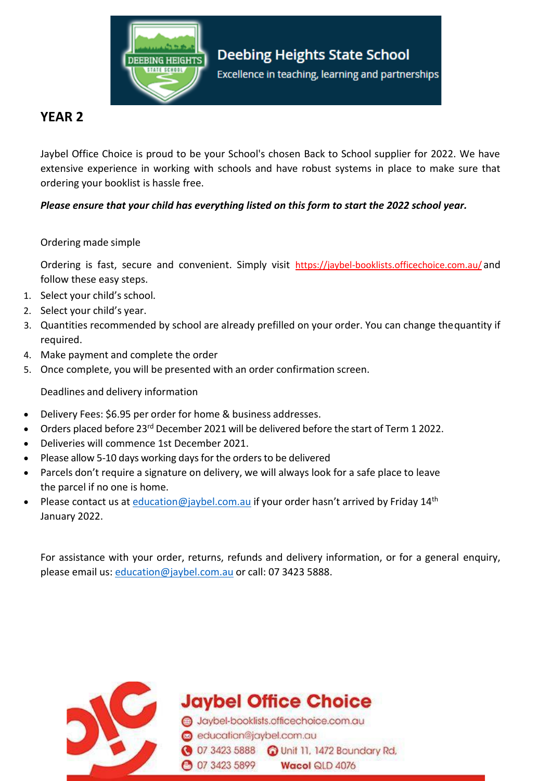

## **YEAR 2**

Jaybel Office Choice is proud to be your School's chosen Back to School supplier for 2022. We have extensive experience in working with schools and have robust systems in place to make sure that ordering your booklist is hassle free.

*Please ensure that your child has everything listed on this form to start the 2022 school year.* 

## Ordering made simple

Ordering is fast, secure and convenient. Simply visit https://jaybel-booklists.officechoice.com.au/ and follow these easy steps.

- 1. Select your child's school.
- 2. Select your child's year.
- 3. Quantities recommended by school are already prefilled on your order. You can change thequantity if required.
- 4. Make payment and complete the order
- 5. Once complete, you will be presented with an order confirmation screen.

Deadlines and delivery information

- Delivery Fees: \$6.95 per order for home & business addresses.
- Orders placed before 23<sup>rd</sup> December 2021 will be delivered before the start of Term 1 2022.
- Deliveries will commence 1st December 2021.
- Please allow 5-10 days working days for the orders to be delivered
- Parcels don't require a signature on delivery, we will always look for a safe place to leave the parcel if no one is home.
- Please contact us at *[education@jaybel.com.au](mailto:education@jaybel.com.au)* if your order hasn't arrived by Friday 14<sup>th</sup> January 2022.

For assistance with your order, returns, refunds and delivery information, or for a general enquiry, please email us: [education@jaybel.com.au](mailto:education@jaybel.com.au) or call: 07 3423 5888.



**Jaybel Office Choice** 

Jaybel-booklists.officechoice.com.au education@jaybel.com.au 3423 5888 C Unit 11, 1472 Boundary Rd, **3423 5899** Wacol QLD 4076